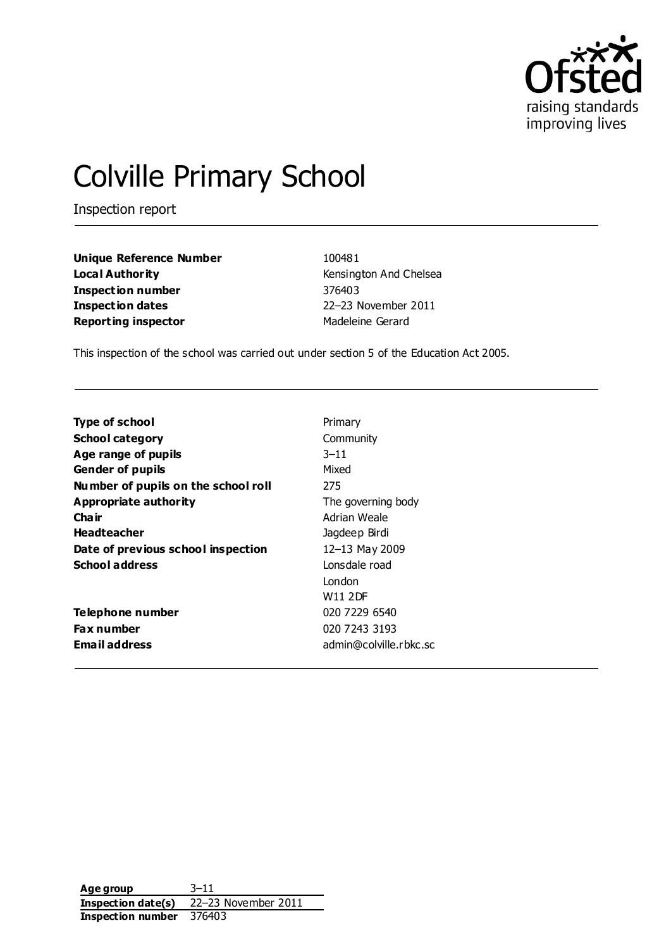

# Colville Primary School

Inspection report

**Unique Reference Number** 100481 **Local Authority Example 20** Kensington And Chelsea **Inspection number** 376403 **Inspection dates** 22–23 November 2011 **Reporting inspector** Madeleine Gerard

This inspection of the school was carried out under section 5 of the Education Act 2005.

| <b>Type of school</b>               | Primary                |
|-------------------------------------|------------------------|
| <b>School category</b>              | Community              |
| Age range of pupils                 | $3 - 11$               |
| <b>Gender of pupils</b>             | Mixed                  |
| Number of pupils on the school roll | 275                    |
| <b>Appropriate authority</b>        | The governing body     |
| Cha ir                              | Adrian Weale           |
| <b>Headteacher</b>                  | Jagdeep Birdi          |
| Date of previous school inspection  | 12-13 May 2009         |
| <b>School address</b>               | Lonsdale road          |
|                                     | London                 |
|                                     | <b>W11 2DF</b>         |
| Telephone number                    | 020 7229 6540          |
| <b>Fax number</b>                   | 020 7243 3193          |
| Email address                       | admin@colville.rbkc.sc |

**Age group** 3–11 **Inspection date(s)** 22–23 November 2011 **Inspection number** 376403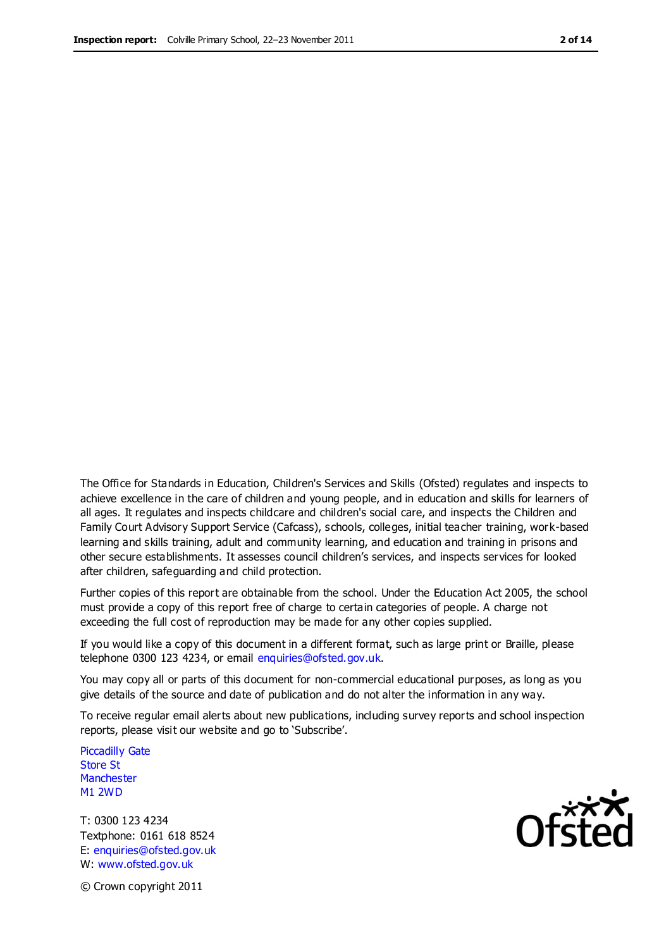The Office for Standards in Education, Children's Services and Skills (Ofsted) regulates and inspects to achieve excellence in the care of children and young people, and in education and skills for learners of all ages. It regulates and inspects childcare and children's social care, and inspects the Children and Family Court Advisory Support Service (Cafcass), schools, colleges, initial teacher training, work-based learning and skills training, adult and community learning, and education and training in prisons and other secure establishments. It assesses council children's services, and inspects services for looked after children, safeguarding and child protection.

Further copies of this report are obtainable from the school. Under the Education Act 2005, the school must provide a copy of this report free of charge to certain categories of people. A charge not exceeding the full cost of reproduction may be made for any other copies supplied.

If you would like a copy of this document in a different format, such as large print or Braille, please telephone 0300 123 4234, or email enquiries@ofsted.gov.uk.

You may copy all or parts of this document for non-commercial educational purposes, as long as you give details of the source and date of publication and do not alter the information in any way.

To receive regular email alerts about new publications, including survey reports and school inspection reports, please visit our website and go to 'Subscribe'.

Piccadilly Gate Store St **Manchester** M1 2WD

T: 0300 123 4234 Textphone: 0161 618 8524 E: enquiries@ofsted.gov.uk W: www.ofsted.gov.uk

**Ofsted** 

© Crown copyright 2011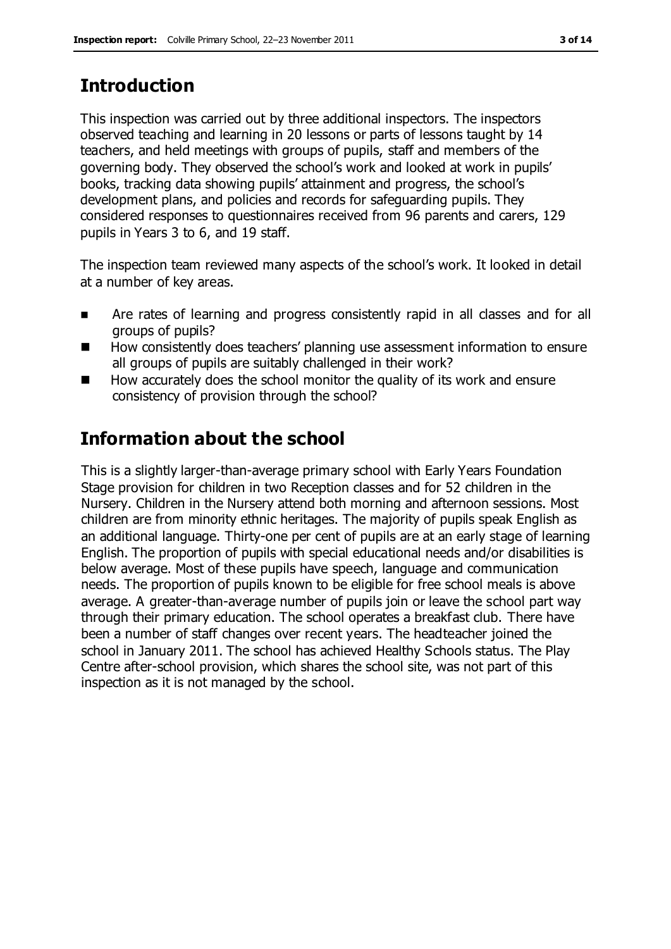# **Introduction**

This inspection was carried out by three additional inspectors. The inspectors observed teaching and learning in 20 lessons or parts of lessons taught by 14 teachers, and held meetings with groups of pupils, staff and members of the governing body. They observed the school's work and looked at work in pupils' books, tracking data showing pupils' attainment and progress, the school's development plans, and policies and records for safeguarding pupils. They considered responses to questionnaires received from 96 parents and carers, 129 pupils in Years 3 to 6, and 19 staff.

The inspection team reviewed many aspects of the school's work. It looked in detail at a number of key areas.

- **EXTERN** Are rates of learning and progress consistently rapid in all classes and for all groups of pupils?
- How consistently does teachers' planning use assessment information to ensure all groups of pupils are suitably challenged in their work?
- How accurately does the school monitor the quality of its work and ensure consistency of provision through the school?

# **Information about the school**

This is a slightly larger-than-average primary school with Early Years Foundation Stage provision for children in two Reception classes and for 52 children in the Nursery. Children in the Nursery attend both morning and afternoon sessions. Most children are from minority ethnic heritages. The majority of pupils speak English as an additional language. Thirty-one per cent of pupils are at an early stage of learning English. The proportion of pupils with special educational needs and/or disabilities is below average. Most of these pupils have speech, language and communication needs. The proportion of pupils known to be eligible for free school meals is above average. A greater-than-average number of pupils join or leave the school part way through their primary education. The school operates a breakfast club. There have been a number of staff changes over recent years. The headteacher joined the school in January 2011. The school has achieved Healthy Schools status. The Play Centre after-school provision, which shares the school site, was not part of this inspection as it is not managed by the school.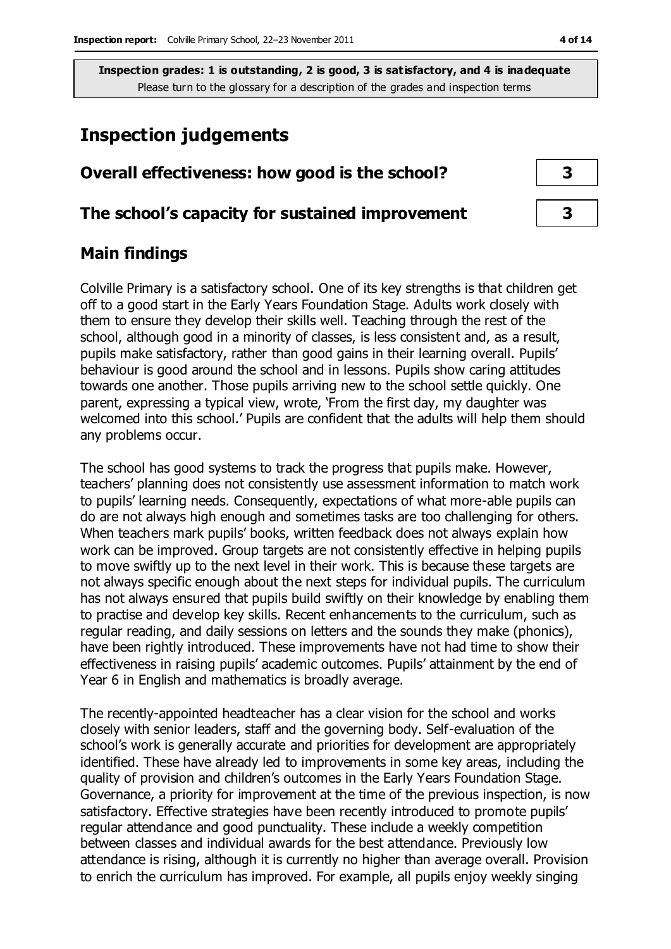# **Inspection judgements**

# **Overall effectiveness: how good is the school? 3**

#### **The school's capacity for sustained improvement 3**

### **Main findings**

Colville Primary is a satisfactory school. One of its key strengths is that children get off to a good start in the Early Years Foundation Stage. Adults work closely with them to ensure they develop their skills well. Teaching through the rest of the school, although good in a minority of classes, is less consistent and, as a result, pupils make satisfactory, rather than good gains in their learning overall. Pupils' behaviour is good around the school and in lessons. Pupils show caring attitudes towards one another. Those pupils arriving new to the school settle quickly. One parent, expressing a typical view, wrote, 'From the first day, my daughter was welcomed into this school.' Pupils are confident that the adults will help them should any problems occur.

The school has good systems to track the progress that pupils make. However, teachers' planning does not consistently use assessment information to match work to pupils' learning needs. Consequently, expectations of what more-able pupils can do are not always high enough and sometimes tasks are too challenging for others. When teachers mark pupils' books, written feedback does not always explain how work can be improved. Group targets are not consistently effective in helping pupils to move swiftly up to the next level in their work. This is because these targets are not always specific enough about the next steps for individual pupils. The curriculum has not always ensured that pupils build swiftly on their knowledge by enabling them to practise and develop key skills. Recent enhancements to the curriculum, such as regular reading, and daily sessions on letters and the sounds they make (phonics), have been rightly introduced. These improvements have not had time to show their effectiveness in raising pupils' academic outcomes. Pupils' attainment by the end of Year 6 in English and mathematics is broadly average.

The recently-appointed headteacher has a clear vision for the school and works closely with senior leaders, staff and the governing body. Self-evaluation of the school's work is generally accurate and priorities for development are appropriately identified. These have already led to improvements in some key areas, including the quality of provision and children's outcomes in the Early Years Foundation Stage. Governance, a priority for improvement at the time of the previous inspection, is now satisfactory. Effective strategies have been recently introduced to promote pupils' regular attendance and good punctuality. These include a weekly competition between classes and individual awards for the best attendance. Previously low attendance is rising, although it is currently no higher than average overall. Provision to enrich the curriculum has improved. For example, all pupils enjoy weekly singing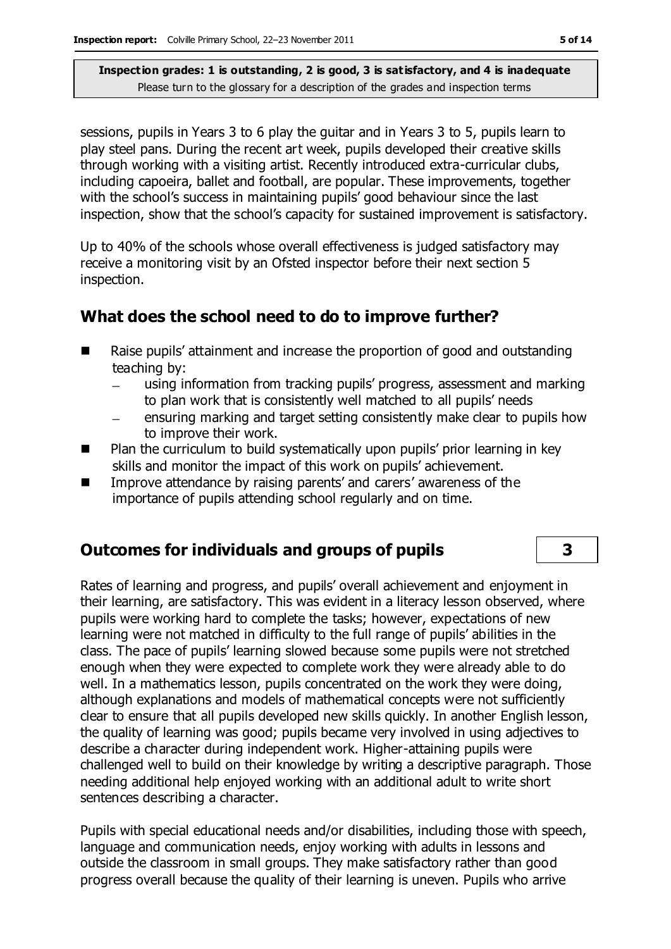sessions, pupils in Years 3 to 6 play the guitar and in Years 3 to 5, pupils learn to play steel pans. During the recent art week, pupils developed their creative skills through working with a visiting artist. Recently introduced extra-curricular clubs, including capoeira, ballet and football, are popular. These improvements, together with the school's success in maintaining pupils' good behaviour since the last inspection, show that the school's capacity for sustained improvement is satisfactory.

Up to 40% of the schools whose overall effectiveness is judged satisfactory may receive a monitoring visit by an Ofsted inspector before their next section 5 inspection.

# **What does the school need to do to improve further?**

- Raise pupils' attainment and increase the proportion of good and outstanding teaching by:
	- using information from tracking pupils' progress, assessment and marking to plan work that is consistently well matched to all pupils' needs
	- ensuring marking and target setting consistently make clear to pupils how to improve their work.
- **Plan the curriculum to build systematically upon pupils' prior learning in key** skills and monitor the impact of this work on pupils' achievement.
- **IMPROVE attendance by raising parents' and carers' awareness of the** importance of pupils attending school regularly and on time.

# **Outcomes for individuals and groups of pupils 3**

Rates of learning and progress, and pupils' overall achievement and enjoyment in their learning, are satisfactory. This was evident in a literacy lesson observed, where pupils were working hard to complete the tasks; however, expectations of new learning were not matched in difficulty to the full range of pupils' abilities in the class. The pace of pupils' learning slowed because some pupils were not stretched enough when they were expected to complete work they were already able to do well. In a mathematics lesson, pupils concentrated on the work they were doing, although explanations and models of mathematical concepts were not sufficiently clear to ensure that all pupils developed new skills quickly. In another English lesson, the quality of learning was good; pupils became very involved in using adjectives to describe a character during independent work. Higher-attaining pupils were challenged well to build on their knowledge by writing a descriptive paragraph. Those needing additional help enjoyed working with an additional adult to write short sentences describing a character.

Pupils with special educational needs and/or disabilities, including those with speech, language and communication needs, enjoy working with adults in lessons and outside the classroom in small groups. They make satisfactory rather than good progress overall because the quality of their learning is uneven. Pupils who arrive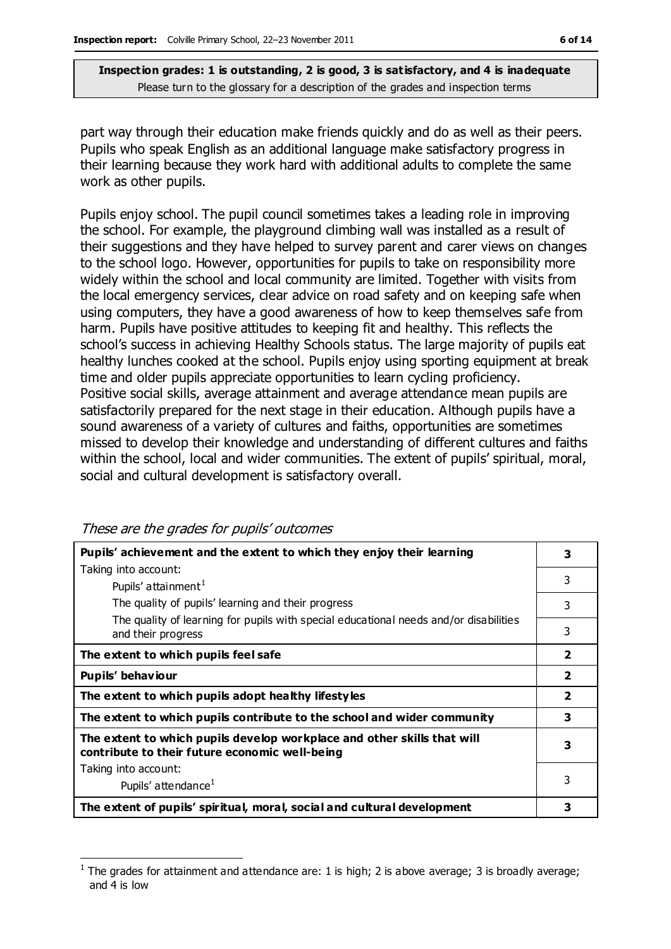part way through their education make friends quickly and do as well as their peers. Pupils who speak English as an additional language make satisfactory progress in their learning because they work hard with additional adults to complete the same work as other pupils.

Pupils enjoy school. The pupil council sometimes takes a leading role in improving the school. For example, the playground climbing wall was installed as a result of their suggestions and they have helped to survey parent and carer views on changes to the school logo. However, opportunities for pupils to take on responsibility more widely within the school and local community are limited. Together with visits from the local emergency services, clear advice on road safety and on keeping safe when using computers, they have a good awareness of how to keep themselves safe from harm. Pupils have positive attitudes to keeping fit and healthy. This reflects the school's success in achieving Healthy Schools status. The large majority of pupils eat healthy lunches cooked at the school. Pupils enjoy using sporting equipment at break time and older pupils appreciate opportunities to learn cycling proficiency. Positive social skills, average attainment and average attendance mean pupils are satisfactorily prepared for the next stage in their education. Although pupils have a sound awareness of a variety of cultures and faiths, opportunities are sometimes missed to develop their knowledge and understanding of different cultures and faiths within the school, local and wider communities. The extent of pupils' spiritual, moral, social and cultural development is satisfactory overall.

| Pupils' achievement and the extent to which they enjoy their learning                                                     | 3                       |
|---------------------------------------------------------------------------------------------------------------------------|-------------------------|
| Taking into account:                                                                                                      | 3                       |
| Pupils' attainment <sup>1</sup>                                                                                           |                         |
| The quality of pupils' learning and their progress                                                                        | 3                       |
| The quality of learning for pupils with special educational needs and/or disabilities<br>and their progress               | 3                       |
| The extent to which pupils feel safe                                                                                      | $\overline{\mathbf{2}}$ |
| Pupils' behaviour                                                                                                         | $\overline{\mathbf{2}}$ |
| The extent to which pupils adopt healthy lifestyles                                                                       | $\overline{2}$          |
| The extent to which pupils contribute to the school and wider community                                                   | 3                       |
| The extent to which pupils develop workplace and other skills that will<br>contribute to their future economic well-being | 3                       |
| Taking into account:                                                                                                      |                         |
| Pupils' attendance <sup>1</sup>                                                                                           | 3                       |
| The extent of pupils' spiritual, moral, social and cultural development                                                   | 3                       |

These are the grades for pupils' outcomes

 $\overline{a}$ 1 The grades for attainment and attendance are: 1 is high; 2 is above average; 3 is broadly average; and 4 is low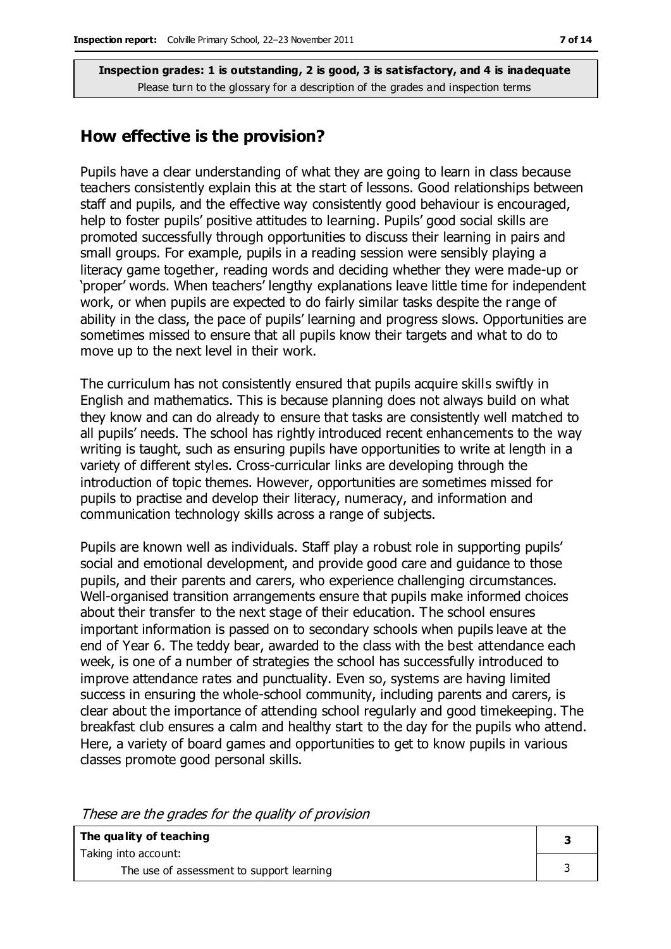### **How effective is the provision?**

Pupils have a clear understanding of what they are going to learn in class because teachers consistently explain this at the start of lessons. Good relationships between staff and pupils, and the effective way consistently good behaviour is encouraged, help to foster pupils' positive attitudes to learning. Pupils' good social skills are promoted successfully through opportunities to discuss their learning in pairs and small groups. For example, pupils in a reading session were sensibly playing a literacy game together, reading words and deciding whether they were made-up or 'proper' words. When teachers' lengthy explanations leave little time for independent work, or when pupils are expected to do fairly similar tasks despite the range of ability in the class, the pace of pupils' learning and progress slows. Opportunities are sometimes missed to ensure that all pupils know their targets and what to do to move up to the next level in their work.

The curriculum has not consistently ensured that pupils acquire skills swiftly in English and mathematics. This is because planning does not always build on what they know and can do already to ensure that tasks are consistently well matched to all pupils' needs. The school has rightly introduced recent enhancements to the way writing is taught, such as ensuring pupils have opportunities to write at length in a variety of different styles. Cross-curricular links are developing through the introduction of topic themes. However, opportunities are sometimes missed for pupils to practise and develop their literacy, numeracy, and information and communication technology skills across a range of subjects.

Pupils are known well as individuals. Staff play a robust role in supporting pupils' social and emotional development, and provide good care and guidance to those pupils, and their parents and carers, who experience challenging circumstances. Well-organised transition arrangements ensure that pupils make informed choices about their transfer to the next stage of their education. The school ensures important information is passed on to secondary schools when pupils leave at the end of Year 6. The teddy bear, awarded to the class with the best attendance each week, is one of a number of strategies the school has successfully introduced to improve attendance rates and punctuality. Even so, systems are having limited success in ensuring the whole-school community, including parents and carers, is clear about the importance of attending school regularly and good timekeeping. The breakfast club ensures a calm and healthy start to the day for the pupils who attend. Here, a variety of board games and opportunities to get to know pupils in various classes promote good personal skills.

These are the grades for the quality of provision

| The quality of teaching                   |  |  |
|-------------------------------------------|--|--|
| Taking into account:                      |  |  |
| The use of assessment to support learning |  |  |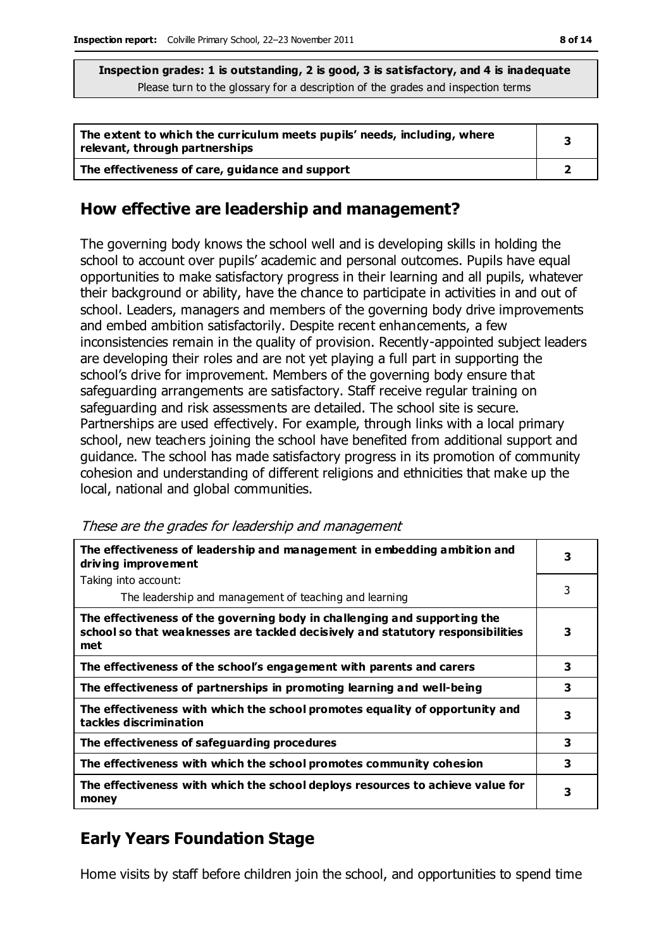| The extent to which the curriculum meets pupils' needs, including, where<br>relevant, through partnerships |  |
|------------------------------------------------------------------------------------------------------------|--|
| The effectiveness of care, guidance and support                                                            |  |

# **How effective are leadership and management?**

The governing body knows the school well and is developing skills in holding the school to account over pupils' academic and personal outcomes. Pupils have equal opportunities to make satisfactory progress in their learning and all pupils, whatever their background or ability, have the chance to participate in activities in and out of school. Leaders, managers and members of the governing body drive improvements and embed ambition satisfactorily. Despite recent enhancements, a few inconsistencies remain in the quality of provision. Recently-appointed subject leaders are developing their roles and are not yet playing a full part in supporting the school's drive for improvement. Members of the governing body ensure that safeguarding arrangements are satisfactory. Staff receive regular training on safeguarding and risk assessments are detailed. The school site is secure. Partnerships are used effectively. For example, through links with a local primary school, new teachers joining the school have benefited from additional support and guidance. The school has made satisfactory progress in its promotion of community cohesion and understanding of different religions and ethnicities that make up the local, national and global communities.

| The effectiveness of leadership and management in embedding ambition and<br>driving improvement                                                                     |   |
|---------------------------------------------------------------------------------------------------------------------------------------------------------------------|---|
| Taking into account:                                                                                                                                                |   |
| The leadership and management of teaching and learning                                                                                                              | 3 |
| The effectiveness of the governing body in challenging and supporting the<br>school so that weaknesses are tackled decisively and statutory responsibilities<br>met | 3 |
| The effectiveness of the school's engagement with parents and carers                                                                                                | 3 |
| The effectiveness of partnerships in promoting learning and well-being                                                                                              | 3 |
| The effectiveness with which the school promotes equality of opportunity and<br>tackles discrimination                                                              | з |
| The effectiveness of safeguarding procedures                                                                                                                        | 3 |
| The effectiveness with which the school promotes community cohesion                                                                                                 | 3 |
| The effectiveness with which the school deploys resources to achieve value for<br>money                                                                             | 3 |

# **Early Years Foundation Stage**

Home visits by staff before children join the school, and opportunities to spend time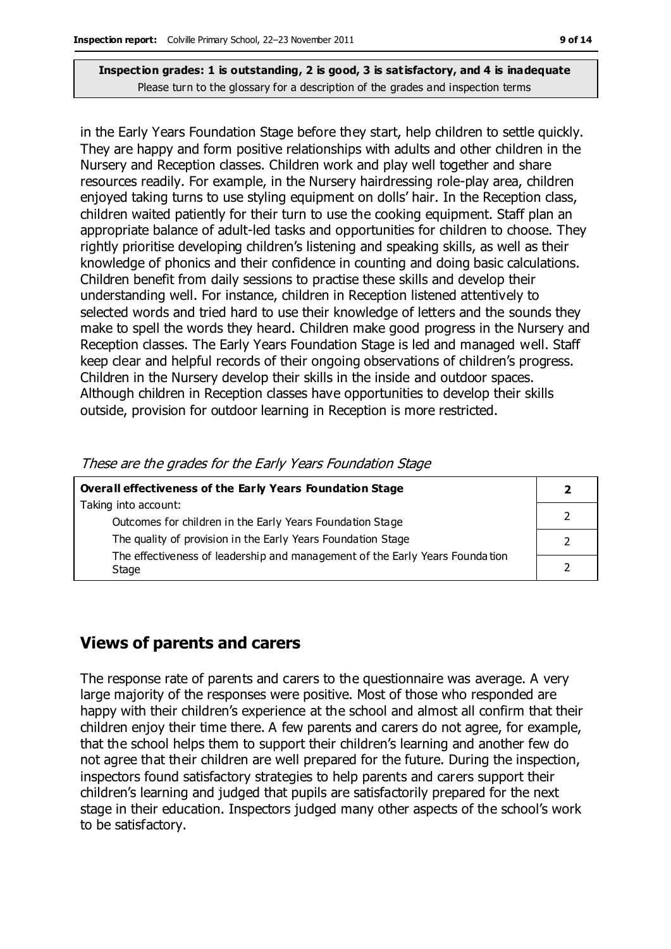in the Early Years Foundation Stage before they start, help children to settle quickly. They are happy and form positive relationships with adults and other children in the Nursery and Reception classes. Children work and play well together and share resources readily. For example, in the Nursery hairdressing role-play area, children enjoyed taking turns to use styling equipment on dolls' hair. In the Reception class, children waited patiently for their turn to use the cooking equipment. Staff plan an appropriate balance of adult-led tasks and opportunities for children to choose. They rightly prioritise developing children's listening and speaking skills, as well as their knowledge of phonics and their confidence in counting and doing basic calculations. Children benefit from daily sessions to practise these skills and develop their understanding well. For instance, children in Reception listened attentively to selected words and tried hard to use their knowledge of letters and the sounds they make to spell the words they heard. Children make good progress in the Nursery and Reception classes. The Early Years Foundation Stage is led and managed well. Staff keep clear and helpful records of their ongoing observations of children's progress. Children in the Nursery develop their skills in the inside and outdoor spaces. Although children in Reception classes have opportunities to develop their skills outside, provision for outdoor learning in Reception is more restricted.

| <b>Overall effectiveness of the Early Years Foundation Stage</b>             |  |  |
|------------------------------------------------------------------------------|--|--|
| Taking into account:                                                         |  |  |
| Outcomes for children in the Early Years Foundation Stage                    |  |  |
| The quality of provision in the Early Years Foundation Stage                 |  |  |
| The effectiveness of leadership and management of the Early Years Foundation |  |  |
| Stage                                                                        |  |  |

#### These are the grades for the Early Years Foundation Stage

# **Views of parents and carers**

The response rate of parents and carers to the questionnaire was average. A very large majority of the responses were positive. Most of those who responded are happy with their children's experience at the school and almost all confirm that their children enjoy their time there. A few parents and carers do not agree, for example, that the school helps them to support their children's learning and another few do not agree that their children are well prepared for the future. During the inspection, inspectors found satisfactory strategies to help parents and carers support their children's learning and judged that pupils are satisfactorily prepared for the next stage in their education. Inspectors judged many other aspects of the school's work to be satisfactory.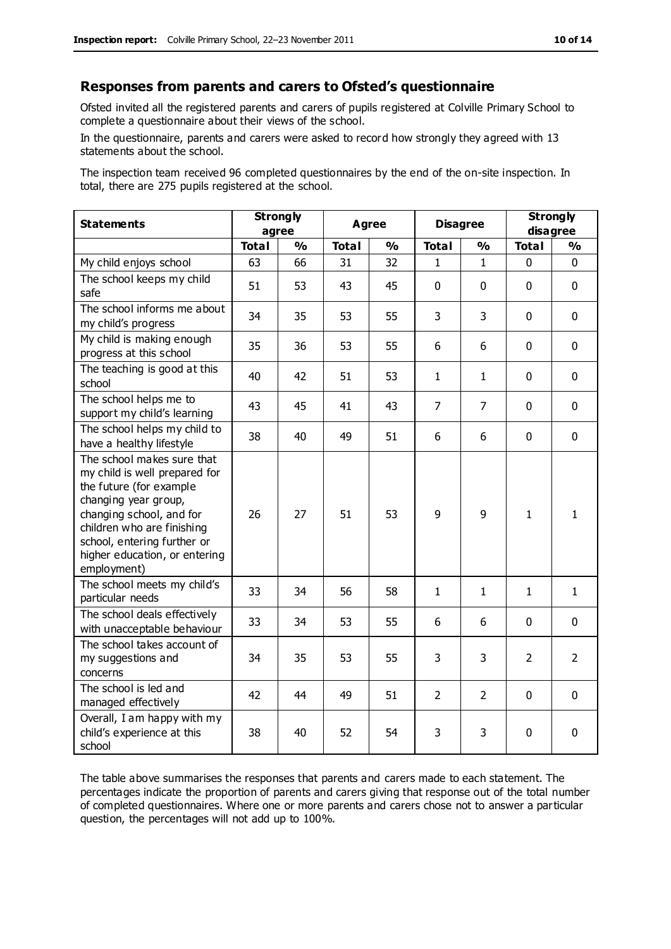#### **Responses from parents and carers to Ofsted's questionnaire**

Ofsted invited all the registered parents and carers of pupils registered at Colville Primary School to complete a questionnaire about their views of the school.

In the questionnaire, parents and carers were asked to record how strongly they agreed with 13 statements about the school.

The inspection team received 96 completed questionnaires by the end of the on-site inspection. In total, there are 275 pupils registered at the school.

| <b>Statements</b>                                                                                                                                                                                                                                       | <b>Strongly</b><br>agree |               | <b>Agree</b> |               | <b>Disagree</b> |                | <b>Strongly</b><br>disagree |                |
|---------------------------------------------------------------------------------------------------------------------------------------------------------------------------------------------------------------------------------------------------------|--------------------------|---------------|--------------|---------------|-----------------|----------------|-----------------------------|----------------|
|                                                                                                                                                                                                                                                         | <b>Total</b>             | $\frac{0}{0}$ | <b>Total</b> | $\frac{1}{2}$ | <b>Total</b>    | $\frac{0}{0}$  | <b>Total</b>                | $\frac{1}{2}$  |
| My child enjoys school                                                                                                                                                                                                                                  | 63                       | 66            | 31           | 32            | 1               | 1              | 0                           | $\Omega$       |
| The school keeps my child<br>safe                                                                                                                                                                                                                       | 51                       | 53            | 43           | 45            | $\mathbf{0}$    | $\mathbf 0$    | $\mathbf{0}$                | $\mathbf 0$    |
| The school informs me about<br>my child's progress                                                                                                                                                                                                      | 34                       | 35            | 53           | 55            | 3               | 3              | $\mathbf 0$                 | $\mathbf 0$    |
| My child is making enough<br>progress at this school                                                                                                                                                                                                    | 35                       | 36            | 53           | 55            | 6               | 6              | $\mathbf 0$                 | $\mathbf 0$    |
| The teaching is good at this<br>school                                                                                                                                                                                                                  | 40                       | 42            | 51           | 53            | $\mathbf{1}$    | 1              | $\mathbf 0$                 | $\mathbf 0$    |
| The school helps me to<br>support my child's learning                                                                                                                                                                                                   | 43                       | 45            | 41           | 43            | 7               | 7              | $\mathbf 0$                 | $\mathbf 0$    |
| The school helps my child to<br>have a healthy lifestyle                                                                                                                                                                                                | 38                       | 40            | 49           | 51            | 6               | 6              | $\mathbf 0$                 | $\mathbf 0$    |
| The school makes sure that<br>my child is well prepared for<br>the future (for example<br>changing year group,<br>changing school, and for<br>children who are finishing<br>school, entering further or<br>higher education, or entering<br>employment) | 26                       | 27            | 51           | 53            | 9               | 9              | $\mathbf{1}$                | $\mathbf{1}$   |
| The school meets my child's<br>particular needs                                                                                                                                                                                                         | 33                       | 34            | 56           | 58            | $\mathbf{1}$    | $\mathbf{1}$   | $\mathbf 1$                 | $\mathbf{1}$   |
| The school deals effectively<br>with unacceptable behaviour                                                                                                                                                                                             | 33                       | 34            | 53           | 55            | 6               | 6              | $\mathbf 0$                 | $\mathbf 0$    |
| The school takes account of<br>my suggestions and<br>concerns                                                                                                                                                                                           | 34                       | 35            | 53           | 55            | 3               | 3              | $\overline{2}$              | $\overline{2}$ |
| The school is led and<br>managed effectively                                                                                                                                                                                                            | 42                       | 44            | 49           | 51            | $\overline{2}$  | $\overline{2}$ | $\mathbf 0$                 | $\mathbf 0$    |
| Overall, I am happy with my<br>child's experience at this<br>school                                                                                                                                                                                     | 38                       | 40            | 52           | 54            | 3               | 3              | $\mathbf 0$                 | $\mathbf 0$    |

The table above summarises the responses that parents and carers made to each statement. The percentages indicate the proportion of parents and carers giving that response out of the total number of completed questionnaires. Where one or more parents and carers chose not to answer a particular question, the percentages will not add up to 100%.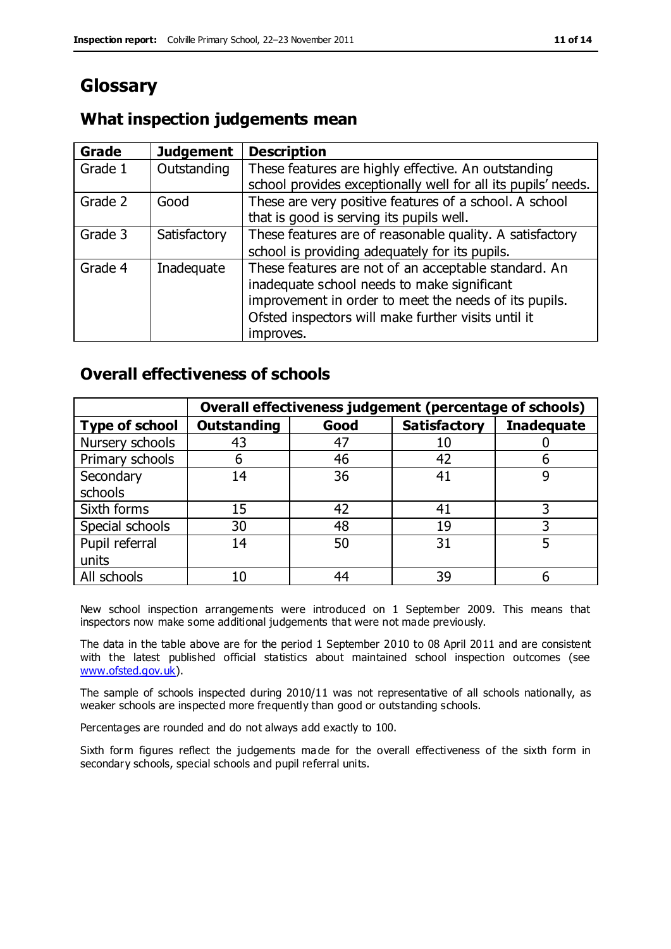# **Glossary**

# **What inspection judgements mean**

| Grade   | <b>Judgement</b> | <b>Description</b>                                                                                                   |
|---------|------------------|----------------------------------------------------------------------------------------------------------------------|
| Grade 1 | Outstanding      | These features are highly effective. An outstanding<br>school provides exceptionally well for all its pupils' needs. |
|         |                  |                                                                                                                      |
| Grade 2 | Good             | These are very positive features of a school. A school                                                               |
|         |                  | that is good is serving its pupils well.                                                                             |
| Grade 3 | Satisfactory     | These features are of reasonable quality. A satisfactory                                                             |
|         |                  | school is providing adequately for its pupils.                                                                       |
| Grade 4 | Inadequate       | These features are not of an acceptable standard. An                                                                 |
|         |                  | inadequate school needs to make significant                                                                          |
|         |                  | improvement in order to meet the needs of its pupils.                                                                |
|         |                  | Ofsted inspectors will make further visits until it                                                                  |
|         |                  | improves.                                                                                                            |

# **Overall effectiveness of schools**

|                       | Overall effectiveness judgement (percentage of schools) |      |                     |                   |
|-----------------------|---------------------------------------------------------|------|---------------------|-------------------|
| <b>Type of school</b> | <b>Outstanding</b>                                      | Good | <b>Satisfactory</b> | <b>Inadequate</b> |
| Nursery schools       | 43                                                      | 47   | 10                  |                   |
| Primary schools       | 6                                                       | 46   | 42                  |                   |
| Secondary             | 14                                                      | 36   | 41                  |                   |
| schools               |                                                         |      |                     |                   |
| Sixth forms           | 15                                                      | 42   | 41                  | 3                 |
| Special schools       | 30                                                      | 48   | 19                  |                   |
| Pupil referral        | 14                                                      | 50   | 31                  |                   |
| units                 |                                                         |      |                     |                   |
| All schools           | 10                                                      | 44   | 39                  |                   |

New school inspection arrangements were introduced on 1 September 2009. This means that inspectors now make some additional judgements that were not made previously.

The data in the table above are for the period 1 September 2010 to 08 April 2011 and are consistent with the latest published official statistics about maintained school inspection outcomes (see [www.ofsted.gov.uk\)](http://www.ofsted.gov.uk/).

The sample of schools inspected during 2010/11 was not representative of all schools nationally, as weaker schools are inspected more frequently than good or outstanding schools.

Percentages are rounded and do not always add exactly to 100.

Sixth form figures reflect the judgements ma de for the overall effectiveness of the sixth form in secondary schools, special schools and pupil referral units.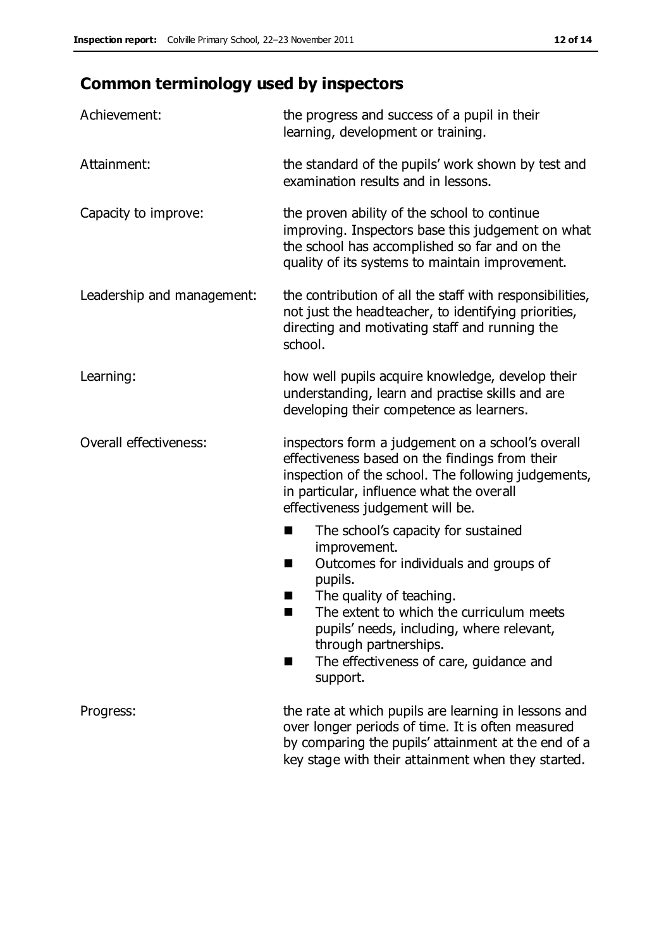# **Common terminology used by inspectors**

| Achievement:               | the progress and success of a pupil in their<br>learning, development or training.                                                                                                                                                                                                                                             |  |  |
|----------------------------|--------------------------------------------------------------------------------------------------------------------------------------------------------------------------------------------------------------------------------------------------------------------------------------------------------------------------------|--|--|
| Attainment:                | the standard of the pupils' work shown by test and<br>examination results and in lessons.                                                                                                                                                                                                                                      |  |  |
| Capacity to improve:       | the proven ability of the school to continue<br>improving. Inspectors base this judgement on what<br>the school has accomplished so far and on the<br>quality of its systems to maintain improvement.                                                                                                                          |  |  |
| Leadership and management: | the contribution of all the staff with responsibilities,<br>not just the headteacher, to identifying priorities,<br>directing and motivating staff and running the<br>school.                                                                                                                                                  |  |  |
| Learning:                  | how well pupils acquire knowledge, develop their<br>understanding, learn and practise skills and are<br>developing their competence as learners.                                                                                                                                                                               |  |  |
| Overall effectiveness:     | inspectors form a judgement on a school's overall<br>effectiveness based on the findings from their<br>inspection of the school. The following judgements,<br>in particular, influence what the overall<br>effectiveness judgement will be.                                                                                    |  |  |
|                            | The school's capacity for sustained<br>improvement.<br>Outcomes for individuals and groups of<br>ш<br>pupils.<br>The quality of teaching.<br>The extent to which the curriculum meets<br>a s<br>pupils' needs, including, where relevant,<br>through partnerships.<br>The effectiveness of care, guidance and<br>■<br>support. |  |  |
| Progress:                  | the rate at which pupils are learning in lessons and<br>over longer periods of time. It is often measured<br>by comparing the pupils' attainment at the end of a<br>key stage with their attainment when they started.                                                                                                         |  |  |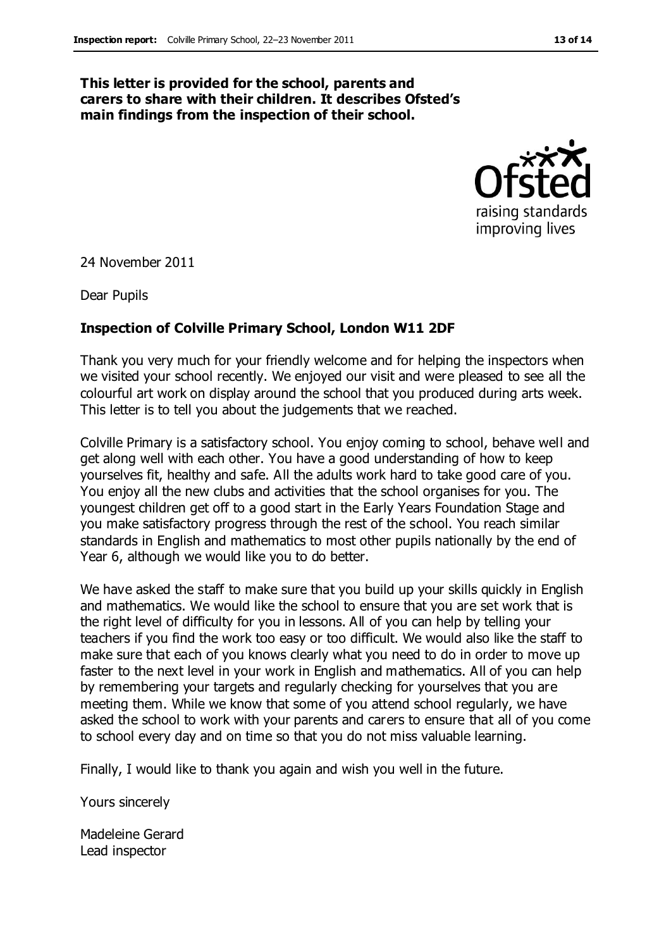#### **This letter is provided for the school, parents and carers to share with their children. It describes Ofsted's main findings from the inspection of their school.**



24 November 2011

Dear Pupils

#### **Inspection of Colville Primary School, London W11 2DF**

Thank you very much for your friendly welcome and for helping the inspectors when we visited your school recently. We enjoyed our visit and were pleased to see all the colourful art work on display around the school that you produced during arts week. This letter is to tell you about the judgements that we reached.

Colville Primary is a satisfactory school. You enjoy coming to school, behave well and get along well with each other. You have a good understanding of how to keep yourselves fit, healthy and safe. All the adults work hard to take good care of you. You enjoy all the new clubs and activities that the school organises for you. The youngest children get off to a good start in the Early Years Foundation Stage and you make satisfactory progress through the rest of the school. You reach similar standards in English and mathematics to most other pupils nationally by the end of Year 6, although we would like you to do better.

We have asked the staff to make sure that you build up your skills quickly in English and mathematics. We would like the school to ensure that you are set work that is the right level of difficulty for you in lessons. All of you can help by telling your teachers if you find the work too easy or too difficult. We would also like the staff to make sure that each of you knows clearly what you need to do in order to move up faster to the next level in your work in English and mathematics. All of you can help by remembering your targets and regularly checking for yourselves that you are meeting them. While we know that some of you attend school regularly, we have asked the school to work with your parents and carers to ensure that all of you come to school every day and on time so that you do not miss valuable learning.

Finally, I would like to thank you again and wish you well in the future.

Yours sincerely

Madeleine Gerard Lead inspector